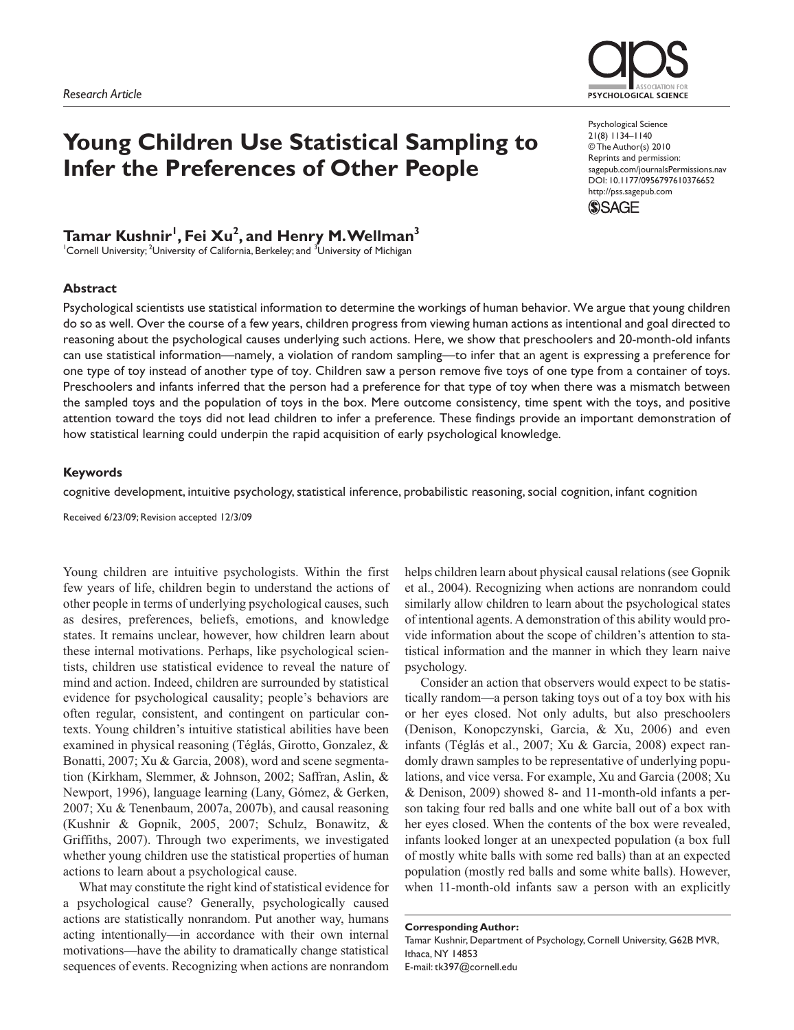# **Young Children Use Statistical Sampling to Infer the Preferences of Other People**

# $\mathsf{T}$ amar Kushnir<sup>1</sup>, Fei Xu<sup>2</sup>, and Henry M. Wellman $^3$

 $\mathrm{^{1}Cor}$ nell University;  $\mathrm{^{2}University}$  of California, Berkeley; and  $\mathrm{^{3}University}$  of Michigan

#### **Abstract**

**PSYCHOLOGICAL SCIENCI** Psychological Science

21(8) 1134–1140 © The Author(s) 2010 Reprints and permission: sagepub.com/journalsPermissions.nav DOI: 10.1177/0956797610376652 http://pss.sagepub.com



Psychological scientists use statistical information to determine the workings of human behavior. We argue that young children do so as well. Over the course of a few years, children progress from viewing human actions as intentional and goal directed to reasoning about the psychological causes underlying such actions. Here, we show that preschoolers and 20-month-old infants can use statistical information—namely, a violation of random sampling—to infer that an agent is expressing a preference for one type of toy instead of another type of toy. Children saw a person remove five toys of one type from a container of toys. Preschoolers and infants inferred that the person had a preference for that type of toy when there was a mismatch between the sampled toys and the population of toys in the box. Mere outcome consistency, time spent with the toys, and positive attention toward the toys did not lead children to infer a preference. These findings provide an important demonstration of how statistical learning could underpin the rapid acquisition of early psychological knowledge.

#### **Keywords**

cognitive development, intuitive psychology, statistical inference, probabilistic reasoning, social cognition, infant cognition

Received 6/23/09; Revision accepted 12/3/09

Young children are intuitive psychologists. Within the first few years of life, children begin to understand the actions of other people in terms of underlying psychological causes, such as desires, preferences, beliefs, emotions, and knowledge states. It remains unclear, however, how children learn about these internal motivations. Perhaps, like psychological scientists, children use statistical evidence to reveal the nature of mind and action. Indeed, children are surrounded by statistical evidence for psychological causality; people's behaviors are often regular, consistent, and contingent on particular contexts. Young children's intuitive statistical abilities have been examined in physical reasoning (Téglás, Girotto, Gonzalez, & Bonatti, 2007; Xu & Garcia, 2008), word and scene segmentation (Kirkham, Slemmer, & Johnson, 2002; Saffran, Aslin, & Newport, 1996), language learning (Lany, Gómez, & Gerken, 2007; Xu & Tenenbaum, 2007a, 2007b), and causal reasoning (Kushnir & Gopnik, 2005, 2007; Schulz, Bonawitz, & Griffiths, 2007). Through two experiments, we investigated whether young children use the statistical properties of human actions to learn about a psychological cause.

What may constitute the right kind of statistical evidence for a psychological cause? Generally, psychologically caused actions are statistically nonrandom. Put another way, humans acting intentionally—in accordance with their own internal motivations—have the ability to dramatically change statistical sequences of events. Recognizing when actions are nonrandom

helps children learn about physical causal relations (see Gopnik et al., 2004). Recognizing when actions are nonrandom could similarly allow children to learn about the psychological states of intentional agents. A demonstration of this ability would provide information about the scope of children's attention to statistical information and the manner in which they learn naive psychology.

Consider an action that observers would expect to be statistically random—a person taking toys out of a toy box with his or her eyes closed. Not only adults, but also preschoolers (Denison, Konopczynski, Garcia, & Xu, 2006) and even infants (Téglás et al., 2007; Xu & Garcia, 2008) expect randomly drawn samples to be representative of underlying populations, and vice versa. For example, Xu and Garcia (2008; Xu & Denison, 2009) showed 8- and 11-month-old infants a person taking four red balls and one white ball out of a box with her eyes closed. When the contents of the box were revealed, infants looked longer at an unexpected population (a box full of mostly white balls with some red balls) than at an expected population (mostly red balls and some white balls). However, when 11-month-old infants saw a person with an explicitly

**Corresponding Author:** Tamar Kushnir, Department of Psychology, Cornell University, G62B MVR, Ithaca, NY 14853 E-mail: tk397@cornell.edu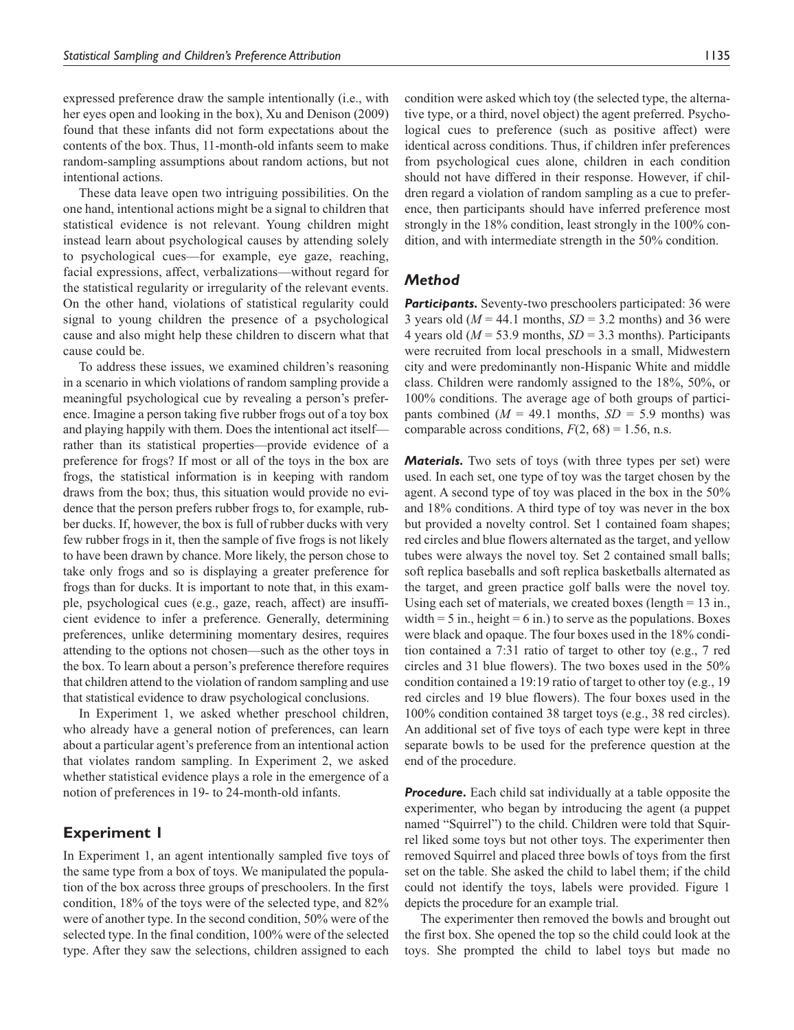expressed preference draw the sample intentionally (i.e., with her eyes open and looking in the box), Xu and Denison (2009) found that these infants did not form expectations about the contents of the box. Thus, 11-month-old infants seem to make random-sampling assumptions about random actions, but not intentional actions.

These data leave open two intriguing possibilities. On the one hand, intentional actions might be a signal to children that statistical evidence is not relevant. Young children might instead learn about psychological causes by attending solely to psychological cues—for example, eye gaze, reaching, facial expressions, affect, verbalizations—without regard for the statistical regularity or irregularity of the relevant events. On the other hand, violations of statistical regularity could signal to young children the presence of a psychological cause and also might help these children to discern what that cause could be.

To address these issues, we examined children's reasoning in a scenario in which violations of random sampling provide a meaningful psychological cue by revealing a person's preference. Imagine a person taking five rubber frogs out of a toy box and playing happily with them. Does the intentional act itself rather than its statistical properties—provide evidence of a preference for frogs? If most or all of the toys in the box are frogs, the statistical information is in keeping with random draws from the box; thus, this situation would provide no evidence that the person prefers rubber frogs to, for example, rubber ducks. If, however, the box is full of rubber ducks with very few rubber frogs in it, then the sample of five frogs is not likely to have been drawn by chance. More likely, the person chose to take only frogs and so is displaying a greater preference for frogs than for ducks. It is important to note that, in this example, psychological cues (e.g., gaze, reach, affect) are insufficient evidence to infer a preference. Generally, determining preferences, unlike determining momentary desires, requires attending to the options not chosen—such as the other toys in the box. To learn about a person's preference therefore requires that children attend to the violation of random sampling and use that statistical evidence to draw psychological conclusions.

In Experiment 1, we asked whether preschool children, who already have a general notion of preferences, can learn about a particular agent's preference from an intentional action that violates random sampling. In Experiment 2, we asked whether statistical evidence plays a role in the emergence of a notion of preferences in 19- to 24-month-old infants.

# **Experiment 1**

In Experiment 1, an agent intentionally sampled five toys of the same type from a box of toys. We manipulated the population of the box across three groups of preschoolers. In the first condition, 18% of the toys were of the selected type, and 82% were of another type. In the second condition, 50% were of the selected type. In the final condition, 100% were of the selected type. After they saw the selections, children assigned to each

condition were asked which toy (the selected type, the alternative type, or a third, novel object) the agent preferred. Psychological cues to preference (such as positive affect) were identical across conditions. Thus, if children infer preferences from psychological cues alone, children in each condition should not have differed in their response. However, if children regard a violation of random sampling as a cue to preference, then participants should have inferred preference most strongly in the 18% condition, least strongly in the 100% condition, and with intermediate strength in the 50% condition.

# *Method*

**Participants.** Seventy-two preschoolers participated: 36 were 3 years old ( $M = 44.1$  months,  $SD = 3.2$  months) and 36 were 4 years old (*M* = 53.9 months, *SD* = 3.3 months). Participants were recruited from local preschools in a small, Midwestern city and were predominantly non-Hispanic White and middle class. Children were randomly assigned to the 18%, 50%, or 100% conditions. The average age of both groups of participants combined ( $M = 49.1$  months,  $SD = 5.9$  months) was comparable across conditions,  $F(2, 68) = 1.56$ , n.s.

*Materials.* Two sets of toys (with three types per set) were used. In each set, one type of toy was the target chosen by the agent. A second type of toy was placed in the box in the 50% and 18% conditions. A third type of toy was never in the box but provided a novelty control. Set 1 contained foam shapes; red circles and blue flowers alternated as the target, and yellow tubes were always the novel toy. Set 2 contained small balls; soft replica baseballs and soft replica basketballs alternated as the target, and green practice golf balls were the novel toy. Using each set of materials, we created boxes (length = 13 in., width  $= 5$  in., height  $= 6$  in.) to serve as the populations. Boxes were black and opaque. The four boxes used in the 18% condition contained a 7:31 ratio of target to other toy (e.g., 7 red circles and 31 blue flowers). The two boxes used in the 50% condition contained a 19:19 ratio of target to other toy (e.g., 19 red circles and 19 blue flowers). The four boxes used in the 100% condition contained 38 target toys (e.g., 38 red circles). An additional set of five toys of each type were kept in three separate bowls to be used for the preference question at the end of the procedure.

**Procedure.** Each child sat individually at a table opposite the experimenter, who began by introducing the agent (a puppet named "Squirrel") to the child. Children were told that Squirrel liked some toys but not other toys. The experimenter then removed Squirrel and placed three bowls of toys from the first set on the table. She asked the child to label them; if the child could not identify the toys, labels were provided. Figure 1 depicts the procedure for an example trial.

The experimenter then removed the bowls and brought out the first box. She opened the top so the child could look at the toys. She prompted the child to label toys but made no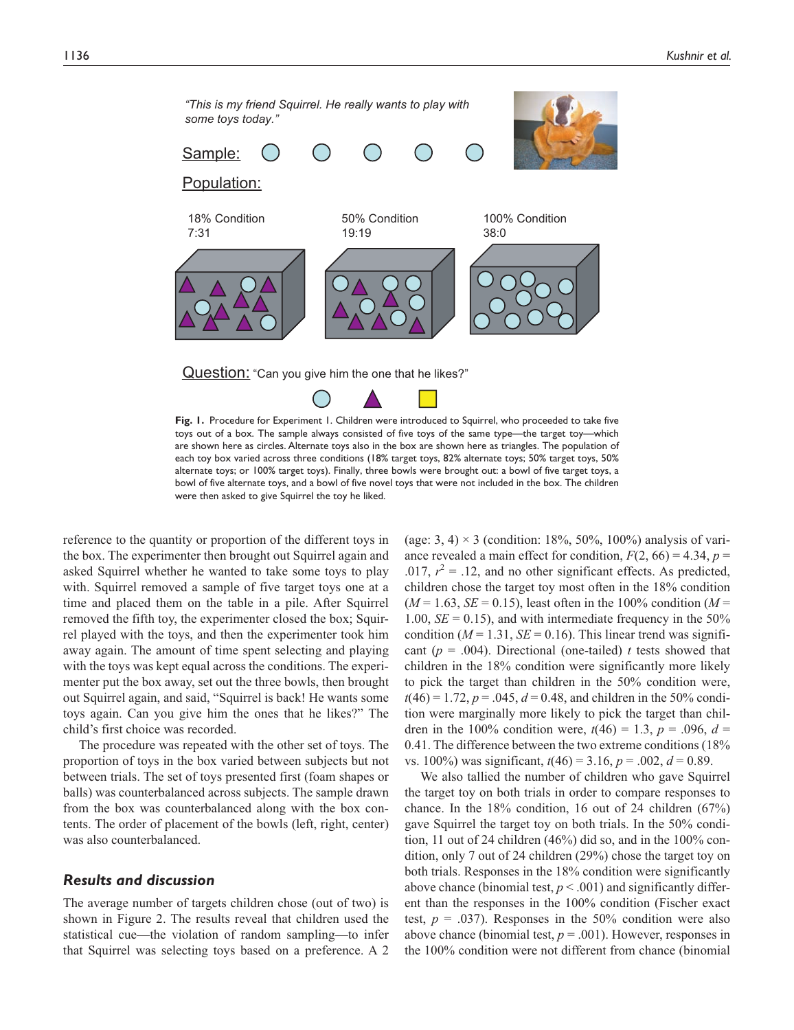

**Fig. 1.** Procedure for Experiment 1. Children were introduced to Squirrel, who proceeded to take five toys out of a box. The sample always consisted of five toys of the same type—the target toy—which are shown here as circles. Alternate toys also in the box are shown here as triangles. The population of each toy box varied across three conditions (18% target toys, 82% alternate toys; 50% target toys, 50% alternate toys; or 100% target toys). Finally, three bowls were brought out: a bowl of five target toys, a bowl of five alternate toys, and a bowl of five novel toys that were not included in the box. The children were then asked to give Squirrel the toy he liked.

reference to the quantity or proportion of the different toys in the box. The experimenter then brought out Squirrel again and asked Squirrel whether he wanted to take some toys to play with. Squirrel removed a sample of five target toys one at a time and placed them on the table in a pile. After Squirrel removed the fifth toy, the experimenter closed the box; Squirrel played with the toys, and then the experimenter took him away again. The amount of time spent selecting and playing with the toys was kept equal across the conditions. The experimenter put the box away, set out the three bowls, then brought out Squirrel again, and said, "Squirrel is back! He wants some toys again. Can you give him the ones that he likes?" The child's first choice was recorded.

The procedure was repeated with the other set of toys. The proportion of toys in the box varied between subjects but not between trials. The set of toys presented first (foam shapes or balls) was counterbalanced across subjects. The sample drawn from the box was counterbalanced along with the box contents. The order of placement of the bowls (left, right, center) was also counterbalanced.

# *Results and discussion*

The average number of targets children chose (out of two) is shown in Figure 2. The results reveal that children used the statistical cue—the violation of random sampling—to infer that Squirrel was selecting toys based on a preference. A 2

(age: 3, 4)  $\times$  3 (condition: 18%, 50%, 100%) analysis of variance revealed a main effect for condition,  $F(2, 66) = 4.34$ ,  $p =$ .017,  $r^2 = 0.12$ , and no other significant effects. As predicted, children chose the target toy most often in the 18% condition  $(M = 1.63, SE = 0.15)$ , least often in the 100% condition  $(M = 1.63, SE = 0.15)$ 1.00,  $SE = 0.15$ ), and with intermediate frequency in the 50% condition ( $M = 1.31$ ,  $SE = 0.16$ ). This linear trend was significant ( $p = .004$ ). Directional (one-tailed) *t* tests showed that children in the 18% condition were significantly more likely to pick the target than children in the 50% condition were,  $t(46) = 1.72$ ,  $p = .045$ ,  $d = 0.48$ , and children in the 50% condition were marginally more likely to pick the target than children in the 100% condition were,  $t(46) = 1.3$ ,  $p = .096$ ,  $d =$ 0.41. The difference between the two extreme conditions (18% vs. 100%) was significant, *t*(46) = 3.16, *p* = .002, *d* = 0.89.

We also tallied the number of children who gave Squirrel the target toy on both trials in order to compare responses to chance. In the 18% condition, 16 out of 24 children (67%) gave Squirrel the target toy on both trials. In the 50% condition, 11 out of 24 children (46%) did so, and in the 100% condition, only 7 out of 24 children (29%) chose the target toy on both trials. Responses in the 18% condition were significantly above chance (binomial test,  $p < .001$ ) and significantly different than the responses in the 100% condition (Fischer exact test,  $p = .037$ ). Responses in the 50% condition were also above chance (binomial test,  $p = .001$ ). However, responses in the 100% condition were not different from chance (binomial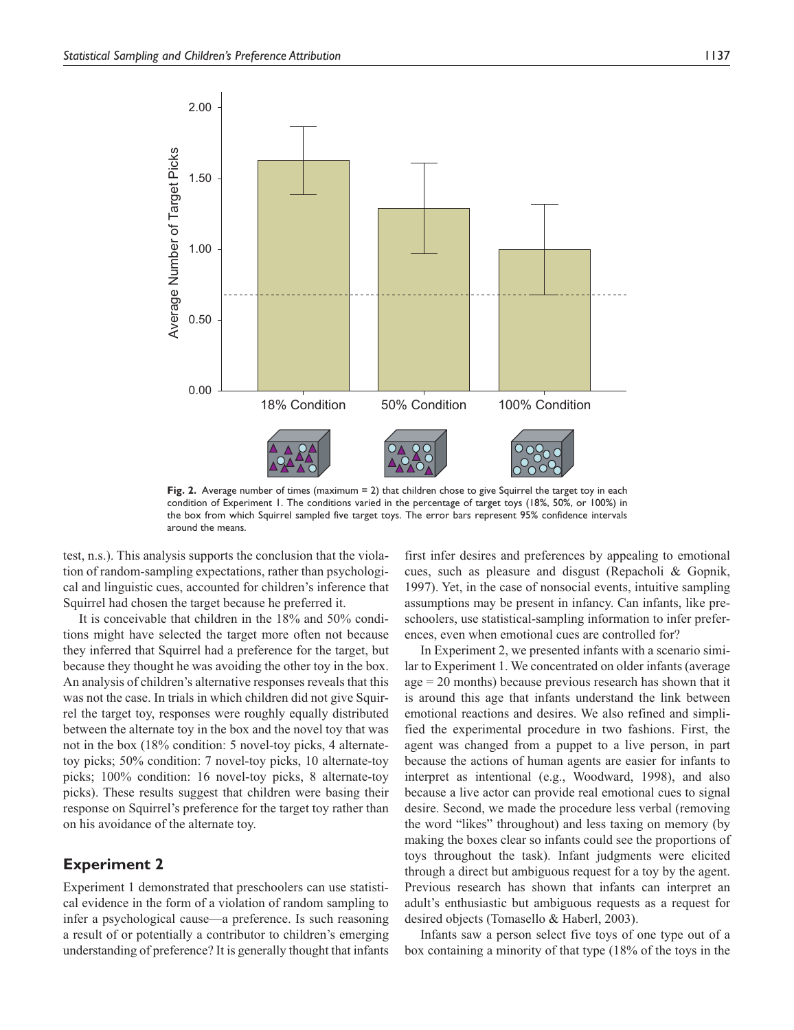

condition of Experiment 1. The conditions varied in the percentage of target toys (18%, 50%, or 100%) in the box from which Squirrel sampled five target toys. The error bars represent 95% confidence intervals around the means.

test, n.s.). This analysis supports the conclusion that the violation of random-sampling expectations, rather than psychological and linguistic cues, accounted for children's inference that Squirrel had chosen the target because he preferred it.

It is conceivable that children in the 18% and 50% conditions might have selected the target more often not because they inferred that Squirrel had a preference for the target, but because they thought he was avoiding the other toy in the box. An analysis of children's alternative responses reveals that this was not the case. In trials in which children did not give Squirrel the target toy, responses were roughly equally distributed between the alternate toy in the box and the novel toy that was not in the box (18% condition: 5 novel-toy picks, 4 alternatetoy picks; 50% condition: 7 novel-toy picks, 10 alternate-toy picks; 100% condition: 16 novel-toy picks, 8 alternate-toy picks). These results suggest that children were basing their response on Squirrel's preference for the target toy rather than on his avoidance of the alternate toy.

# **Experiment 2**

Experiment 1 demonstrated that preschoolers can use statistical evidence in the form of a violation of random sampling to infer a psychological cause—a preference. Is such reasoning a result of or potentially a contributor to children's emerging understanding of preference? It is generally thought that infants

first infer desires and preferences by appealing to emotional cues, such as pleasure and disgust (Repacholi & Gopnik, 1997). Yet, in the case of nonsocial events, intuitive sampling assumptions may be present in infancy. Can infants, like preschoolers, use statistical-sampling information to infer preferences, even when emotional cues are controlled for?

In Experiment 2, we presented infants with a scenario similar to Experiment 1. We concentrated on older infants (average age = 20 months) because previous research has shown that it is around this age that infants understand the link between emotional reactions and desires. We also refined and simplified the experimental procedure in two fashions. First, the agent was changed from a puppet to a live person, in part because the actions of human agents are easier for infants to interpret as intentional (e.g., Woodward, 1998), and also because a live actor can provide real emotional cues to signal desire. Second, we made the procedure less verbal (removing the word "likes" throughout) and less taxing on memory (by making the boxes clear so infants could see the proportions of toys throughout the task). Infant judgments were elicited through a direct but ambiguous request for a toy by the agent. Previous research has shown that infants can interpret an adult's enthusiastic but ambiguous requests as a request for desired objects (Tomasello & Haberl, 2003).

Infants saw a person select five toys of one type out of a box containing a minority of that type (18% of the toys in the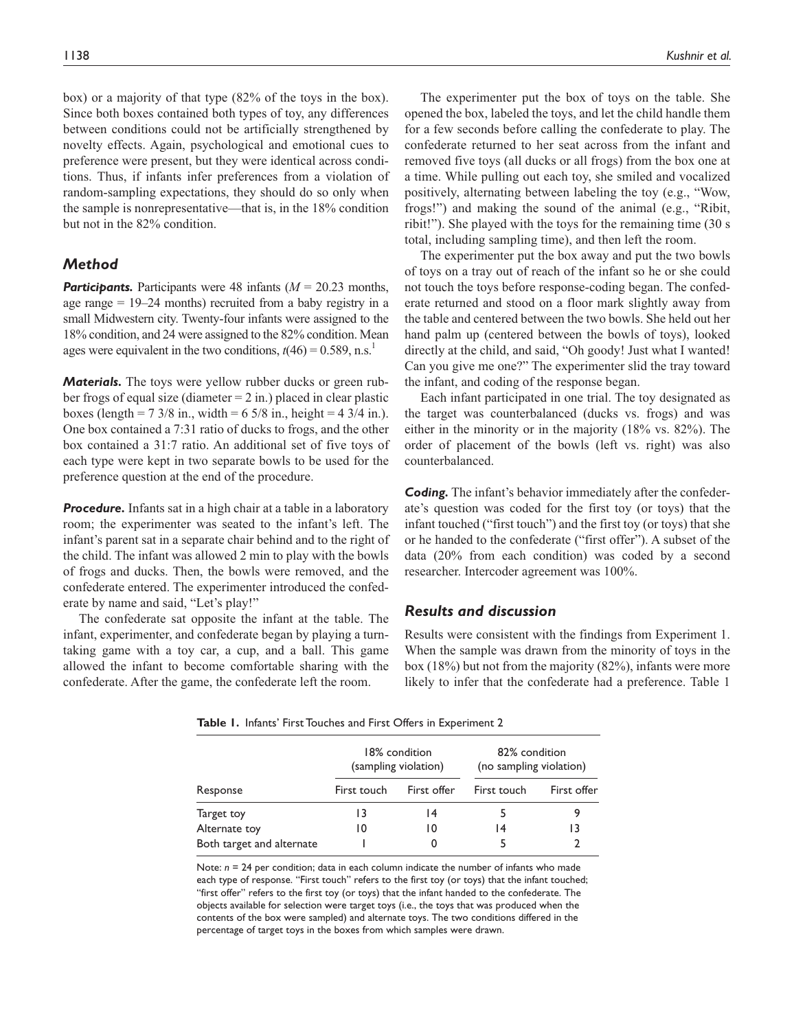box) or a majority of that type (82% of the toys in the box). Since both boxes contained both types of toy, any differences between conditions could not be artificially strengthened by novelty effects. Again, psychological and emotional cues to preference were present, but they were identical across conditions. Thus, if infants infer preferences from a violation of random-sampling expectations, they should do so only when the sample is nonrepresentative—that is, in the 18% condition but not in the 82% condition.

# *Method*

*Participants.* Participants were 48 infants (*M* = 20.23 months, age range = 19–24 months) recruited from a baby registry in a small Midwestern city. Twenty-four infants were assigned to the 18% condition, and 24 were assigned to the 82% condition. Mean ages were equivalent in the two conditions,  $t(46) = 0.589$ , n.s.<sup>1</sup>

*Materials.* The toys were yellow rubber ducks or green rubber frogs of equal size (diameter  $= 2$  in.) placed in clear plastic boxes (length =  $7 \frac{3}{8}$  in., width =  $6 \frac{5}{8}$  in., height =  $4 \frac{3}{4}$  in.). One box contained a 7:31 ratio of ducks to frogs, and the other box contained a 31:7 ratio. An additional set of five toys of each type were kept in two separate bowls to be used for the preference question at the end of the procedure.

*Procedure.* Infants sat in a high chair at a table in a laboratory room; the experimenter was seated to the infant's left. The infant's parent sat in a separate chair behind and to the right of the child. The infant was allowed 2 min to play with the bowls of frogs and ducks. Then, the bowls were removed, and the confederate entered. The experimenter introduced the confederate by name and said, "Let's play!"

The confederate sat opposite the infant at the table. The infant, experimenter, and confederate began by playing a turntaking game with a toy car, a cup, and a ball. This game allowed the infant to become comfortable sharing with the confederate. After the game, the confederate left the room.

The experimenter put the box of toys on the table. She opened the box, labeled the toys, and let the child handle them for a few seconds before calling the confederate to play. The confederate returned to her seat across from the infant and removed five toys (all ducks or all frogs) from the box one at a time. While pulling out each toy, she smiled and vocalized positively, alternating between labeling the toy (e.g., "Wow, frogs!") and making the sound of the animal (e.g., "Ribit, ribit!"). She played with the toys for the remaining time (30 s total, including sampling time), and then left the room.

The experimenter put the box away and put the two bowls of toys on a tray out of reach of the infant so he or she could not touch the toys before response-coding began. The confederate returned and stood on a floor mark slightly away from the table and centered between the two bowls. She held out her hand palm up (centered between the bowls of toys), looked directly at the child, and said, "Oh goody! Just what I wanted! Can you give me one?" The experimenter slid the tray toward the infant, and coding of the response began.

Each infant participated in one trial. The toy designated as the target was counterbalanced (ducks vs. frogs) and was either in the minority or in the majority (18% vs. 82%). The order of placement of the bowls (left vs. right) was also counterbalanced.

*Coding.* The infant's behavior immediately after the confederate's question was coded for the first toy (or toys) that the infant touched ("first touch") and the first toy (or toys) that she or he handed to the confederate ("first offer"). A subset of the data (20% from each condition) was coded by a second researcher. Intercoder agreement was 100%.

# *Results and discussion*

Results were consistent with the findings from Experiment 1. When the sample was drawn from the minority of toys in the box (18%) but not from the majority (82%), infants were more likely to infer that the confederate had a preference. Table 1

| Response                  | 18% condition<br>(sampling violation) |             | 82% condition<br>(no sampling violation) |             |
|---------------------------|---------------------------------------|-------------|------------------------------------------|-------------|
|                           | First touch                           | First offer | First touch                              | First offer |
| Target toy                | 13                                    | 14          |                                          |             |
| Alternate toy             | 10                                    | 10          | 14                                       | 13          |
| Both target and alternate |                                       | 0           |                                          |             |

**Table 1.** Infants' First Touches and First Offers in Experiment 2

Note: *n* = 24 per condition; data in each column indicate the number of infants who made each type of response. "First touch" refers to the first toy (or toys) that the infant touched; "first offer" refers to the first toy (or toys) that the infant handed to the confederate. The objects available for selection were target toys (i.e., the toys that was produced when the contents of the box were sampled) and alternate toys. The two conditions differed in the percentage of target toys in the boxes from which samples were drawn.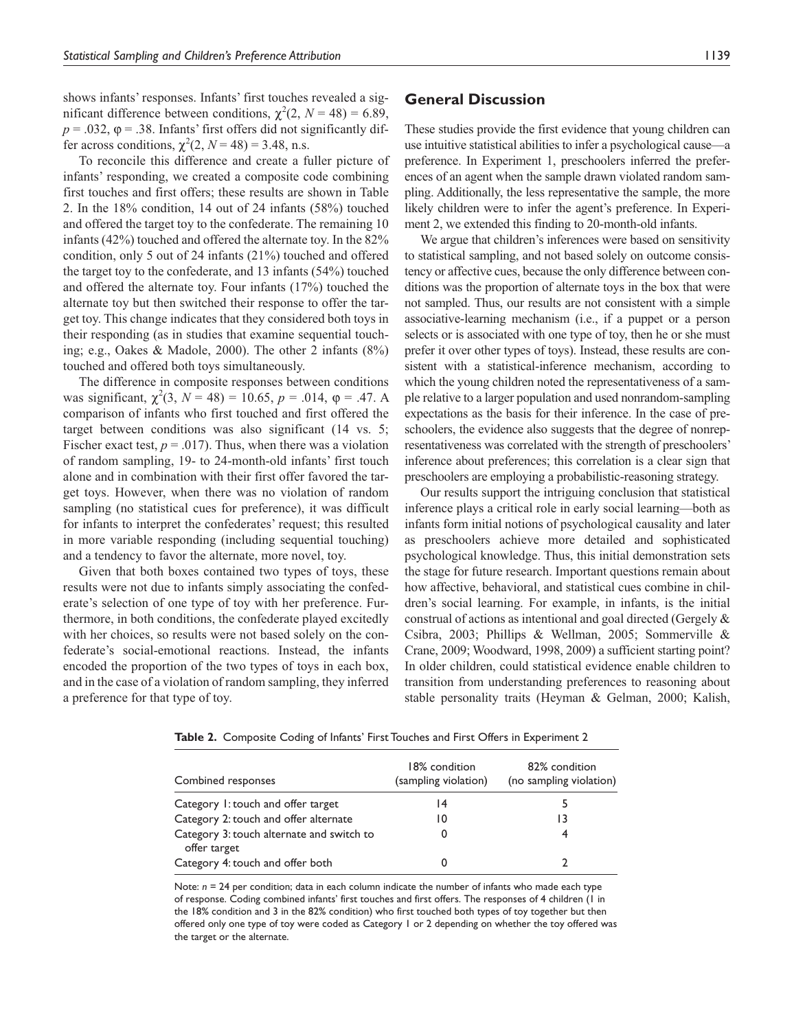shows infants' responses. Infants' first touches revealed a sigmificant difference between conditions,  $\chi^2(2, N = 48) = 6.89$ ,  $p = .032$ ,  $\varphi = .38$ . Infants' first offers did not significantly differ across conditions,  $\chi^2(2, N=48) = 3.48$ , n.s.

To reconcile this difference and create a fuller picture of infants' responding, we created a composite code combining first touches and first offers; these results are shown in Table 2. In the 18% condition, 14 out of 24 infants (58%) touched and offered the target toy to the confederate. The remaining 10 infants (42%) touched and offered the alternate toy. In the 82% condition, only 5 out of 24 infants (21%) touched and offered the target toy to the confederate, and 13 infants (54%) touched and offered the alternate toy. Four infants (17%) touched the alternate toy but then switched their response to offer the target toy. This change indicates that they considered both toys in their responding (as in studies that examine sequential touching; e.g., Oakes & Madole, 2000). The other 2 infants (8%) touched and offered both toys simultaneously.

The difference in composite responses between conditions was significant,  $\chi^2(3, N = 48) = 10.65$ ,  $p = .014$ ,  $\varphi = .47$ . A comparison of infants who first touched and first offered the target between conditions was also significant (14 vs. 5; Fischer exact test,  $p = .017$ ). Thus, when there was a violation of random sampling, 19- to 24-month-old infants' first touch alone and in combination with their first offer favored the target toys. However, when there was no violation of random sampling (no statistical cues for preference), it was difficult for infants to interpret the confederates' request; this resulted in more variable responding (including sequential touching) and a tendency to favor the alternate, more novel, toy.

Given that both boxes contained two types of toys, these results were not due to infants simply associating the confederate's selection of one type of toy with her preference. Furthermore, in both conditions, the confederate played excitedly with her choices, so results were not based solely on the confederate's social-emotional reactions. Instead, the infants encoded the proportion of the two types of toys in each box, and in the case of a violation of random sampling, they inferred a preference for that type of toy.

# **General Discussion**

These studies provide the first evidence that young children can use intuitive statistical abilities to infer a psychological cause—a preference. In Experiment 1, preschoolers inferred the preferences of an agent when the sample drawn violated random sampling. Additionally, the less representative the sample, the more likely children were to infer the agent's preference. In Experiment 2, we extended this finding to 20-month-old infants.

We argue that children's inferences were based on sensitivity to statistical sampling, and not based solely on outcome consistency or affective cues, because the only difference between conditions was the proportion of alternate toys in the box that were not sampled. Thus, our results are not consistent with a simple associative-learning mechanism (i.e., if a puppet or a person selects or is associated with one type of toy, then he or she must prefer it over other types of toys). Instead, these results are consistent with a statistical-inference mechanism, according to which the young children noted the representativeness of a sample relative to a larger population and used nonrandom-sampling expectations as the basis for their inference. In the case of preschoolers, the evidence also suggests that the degree of nonrepresentativeness was correlated with the strength of preschoolers' inference about preferences; this correlation is a clear sign that preschoolers are employing a probabilistic-reasoning strategy.

Our results support the intriguing conclusion that statistical inference plays a critical role in early social learning—both as infants form initial notions of psychological causality and later as preschoolers achieve more detailed and sophisticated psychological knowledge. Thus, this initial demonstration sets the stage for future research. Important questions remain about how affective, behavioral, and statistical cues combine in children's social learning. For example, in infants, is the initial construal of actions as intentional and goal directed (Gergely & Csibra, 2003; Phillips & Wellman, 2005; Sommerville & Crane, 2009; Woodward, 1998, 2009) a sufficient starting point? In older children, could statistical evidence enable children to transition from understanding preferences to reasoning about stable personality traits (Heyman & Gelman, 2000; Kalish,

| Combined responses                                        | 18% condition<br>(sampling violation) | 82% condition<br>(no sampling violation) |
|-----------------------------------------------------------|---------------------------------------|------------------------------------------|
| Category 1: touch and offer target                        | 14                                    |                                          |
| Category 2: touch and offer alternate                     | 10                                    | 13                                       |
| Category 3: touch alternate and switch to<br>offer target |                                       |                                          |
| Category 4: touch and offer both                          |                                       |                                          |

**Table 2.** Composite Coding of Infants' First Touches and First Offers in Experiment 2

Note:  $n = 24$  per condition; data in each column indicate the number of infants who made each type of response. Coding combined infants' first touches and first offers. The responses of 4 children (1 in the 18% condition and 3 in the 82% condition) who first touched both types of toy together but then offered only one type of toy were coded as Category 1 or 2 depending on whether the toy offered was the target or the alternate.